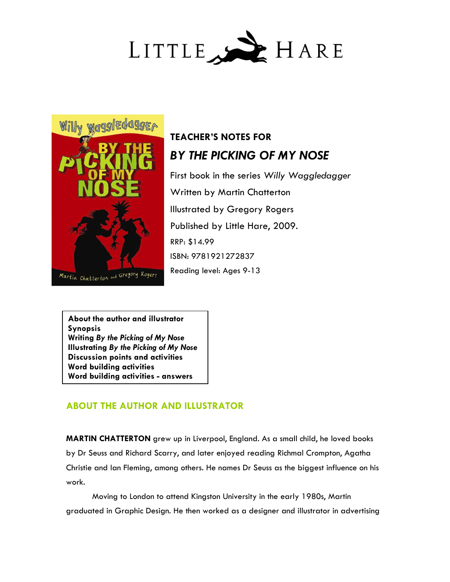



# **TEACHER'S NOTES FOR**  *BY THE PICKING OF MY NOSE*

First book in the series *Willy Waggledagger* Written by Martin Chatterton Illustrated by Gregory Rogers Published by Little Hare, 2009. RRP: \$14.99 ISBN: 9781921272837 Reading level: Ages 9-13

**About the author and illustrator Synopsis Writing** *By the Picking of My Nose*  **Illustrating** *By the Picking of My Nose*  **Discussion points and activities Word building activities Word building activities - answers**

## **ABOUT THE AUTHOR AND ILLUSTRATOR**

**MARTIN CHATTERTON** grew up in Liverpool, England. As a small child, he loved books by Dr Seuss and Richard Scarry, and later enjoyed reading Richmal Crompton, Agatha Christie and Ian Fleming, among others. He names Dr Seuss as the biggest influence on his work.

Moving to London to attend Kingston University in the early 1980s, Martin graduated in Graphic Design. He then worked as a designer and illustrator in advertising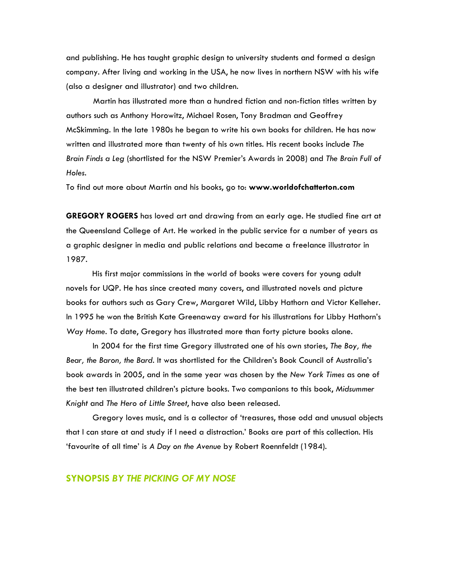and publishing. He has taught graphic design to university students and formed a design company. After living and working in the USA, he now lives in northern NSW with his wife (also a designer and illustrator) and two children.

Martin has illustrated more than a hundred fiction and non-fiction titles written by authors such as Anthony Horowitz, Michael Rosen, Tony Bradman and Geoffrey McSkimming. In the late 1980s he began to write his own books for children. He has now written and illustrated more than twenty of his own titles. His recent books include *The Brain Finds a Leg* (shortlisted for the NSW Premier's Awards in 2008) and *The Brain Full of Holes*.

To find out more about Martin and his books, go to: **www.worldofchatterton.com**

**GREGORY ROGERS** has loved art and drawing from an early age. He studied fine art at the Queensland College of Art. He worked in the public service for a number of years as a graphic designer in media and public relations and became a freelance illustrator in 1987.

His first major commissions in the world of books were covers for young adult novels for UQP. He has since created many covers, and illustrated novels and picture books for authors such as Gary Crew, Margaret Wild, Libby Hathorn and Victor Kelleher. In 1995 he won the British Kate Greenaway award for his illustrations for Libby Hathorn's *Way Home*. To date, Gregory has illustrated more than forty picture books alone.

In 2004 for the first time Gregory illustrated one of his own stories, *The Boy, the Bear, the Baron, the Bard*. It was shortlisted for the Children's Book Council of Australia's book awards in 2005, and in the same year was chosen by the *New York Times* as one of the best ten illustrated children's picture books. Two companions to this book, *Midsummer Knight* and *The Hero of Little Street*, have also been released.

Gregory loves music, and is a collector of 'treasures, those odd and unusual objects that I can stare at and study if I need a distraction.' Books are part of this collection. His 'favourite of all time' is *A Day on the Avenue* by Robert Roennfeldt (1984).

#### **SYNOPSIS** *BY THE PICKING OF MY NOSE*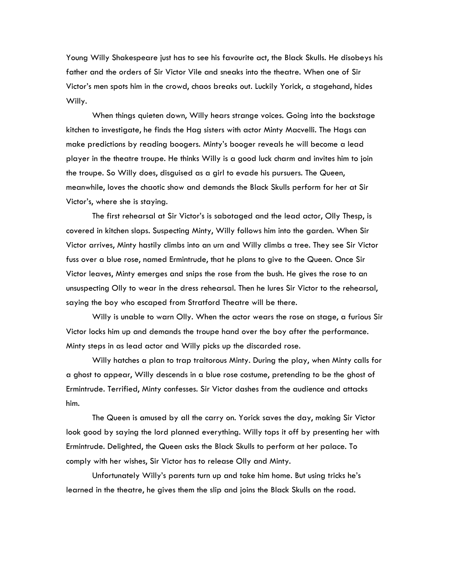Young Willy Shakespeare just has to see his favourite act, the Black Skulls. He disobeys his father and the orders of Sir Victor Vile and sneaks into the theatre. When one of Sir Victor's men spots him in the crowd, chaos breaks out. Luckily Yorick, a stagehand, hides Willy.

When things quieten down, Willy hears strange voices. Going into the backstage kitchen to investigate, he finds the Hag sisters with actor Minty Macvelli. The Hags can make predictions by reading boogers. Minty's booger reveals he will become a lead player in the theatre troupe. He thinks Willy is a good luck charm and invites him to join the troupe. So Willy does, disguised as a girl to evade his pursuers. The Queen, meanwhile, loves the chaotic show and demands the Black Skulls perform for her at Sir Victor's, where she is staying.

The first rehearsal at Sir Victor's is sabotaged and the lead actor, Olly Thesp, is covered in kitchen slops. Suspecting Minty, Willy follows him into the garden. When Sir Victor arrives, Minty hastily climbs into an urn and Willy climbs a tree. They see Sir Victor fuss over a blue rose, named Ermintrude, that he plans to give to the Queen. Once Sir Victor leaves, Minty emerges and snips the rose from the bush. He gives the rose to an unsuspecting Olly to wear in the dress rehearsal. Then he lures Sir Victor to the rehearsal, saying the boy who escaped from Stratford Theatre will be there.

Willy is unable to warn Olly. When the actor wears the rose on stage, a furious Sir Victor locks him up and demands the troupe hand over the boy after the performance. Minty steps in as lead actor and Willy picks up the discarded rose.

Willy hatches a plan to trap traitorous Minty. During the play, when Minty calls for a ghost to appear, Willy descends in a blue rose costume, pretending to be the ghost of Ermintrude. Terrified, Minty confesses. Sir Victor dashes from the audience and attacks him.

The Queen is amused by all the carry on. Yorick saves the day, making Sir Victor look good by saying the lord planned everything. Willy tops it off by presenting her with Ermintrude. Delighted, the Queen asks the Black Skulls to perform at her palace. To comply with her wishes, Sir Victor has to release Olly and Minty.

Unfortunately Willy's parents turn up and take him home. But using tricks he's learned in the theatre, he gives them the slip and joins the Black Skulls on the road.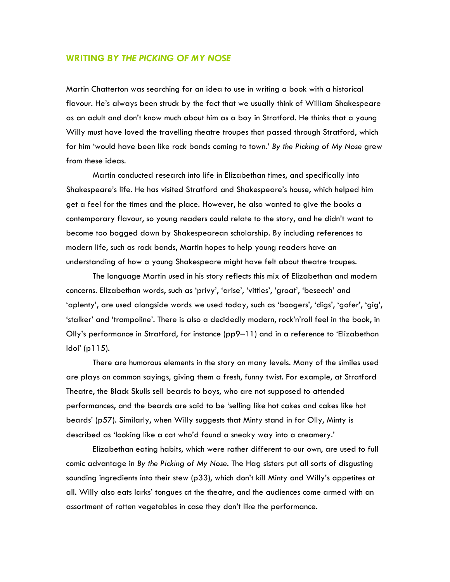#### **WRITING** *BY THE PICKING OF MY NOSE*

Martin Chatterton was searching for an idea to use in writing a book with a historical flavour. He's always been struck by the fact that we usually think of William Shakespeare as an adult and don't know much about him as a boy in Stratford. He thinks that a young Willy must have loved the travelling theatre troupes that passed through Stratford, which for him 'would have been like rock bands coming to town.' *By the Picking of My Nose* grew from these ideas.

Martin conducted research into life in Elizabethan times, and specifically into Shakespeare's life. He has visited Stratford and Shakespeare's house, which helped him get a feel for the times and the place. However, he also wanted to give the books a contemporary flavour, so young readers could relate to the story, and he didn't want to become too bogged down by Shakespearean scholarship. By including references to modern life, such as rock bands, Martin hopes to help young readers have an understanding of how a young Shakespeare might have felt about theatre troupes.

The language Martin used in his story reflects this mix of Elizabethan and modern concerns. Elizabethan words, such as 'privy', 'arise', 'vittles', 'groat', 'beseech' and 'aplenty', are used alongside words we used today, such as 'boogers', 'digs', 'gofer', 'gig', 'stalker' and 'trampoline'. There is also a decidedly modern, rock'n'roll feel in the book, in Olly's performance in Stratford, for instance (pp9–11) and in a reference to 'Elizabethan Idol' (p115).

There are humorous elements in the story on many levels. Many of the similes used are plays on common sayings, giving them a fresh, funny twist. For example, at Stratford Theatre, the Black Skulls sell beards to boys, who are not supposed to attended performances, and the beards are said to be 'selling like hot cakes and cakes like hot beards' (p57). Similarly, when Willy suggests that Minty stand in for Olly, Minty is described as 'looking like a cat who'd found a sneaky way into a creamery.'

Elizabethan eating habits, which were rather different to our own, are used to full comic advantage in *By the Picking of My Nose.* The Hag sisters put all sorts of disgusting sounding ingredients into their stew (p33), which don't kill Minty and Willy's appetites at all. Willy also eats larks' tongues at the theatre, and the audiences come armed with an assortment of rotten vegetables in case they don't like the performance.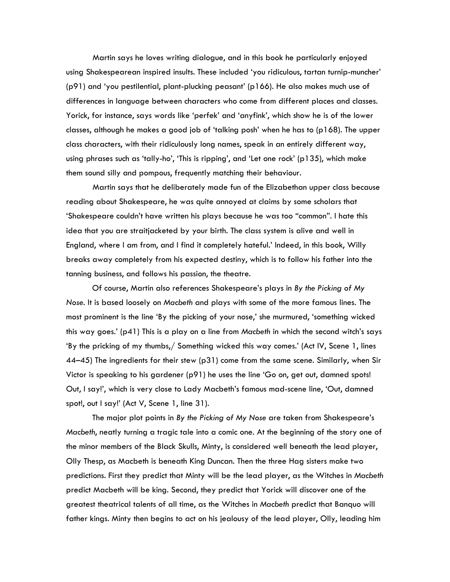Martin says he loves writing dialogue, and in this book he particularly enjoyed using Shakespearean inspired insults. These included 'you ridiculous, tartan turnip-muncher' (p91) and 'you pestilential, plant-plucking peasant' (p166). He also makes much use of differences in language between characters who come from different places and classes. Yorick, for instance, says words like 'perfek' and 'anyfink', which show he is of the lower classes, although he makes a good job of 'talking posh' when he has to (p168). The upper class characters, with their ridiculously long names, speak in an entirely different way, using phrases such as 'tally-ho', 'This is ripping', and 'Let one rock' (p135), which make them sound silly and pompous, frequently matching their behaviour.

Martin says that he deliberately made fun of the Elizabethan upper class because reading about Shakespeare, he was quite annoyed at claims by some scholars that 'Shakespeare couldn't have written his plays because he was too "common". I hate this idea that you are straitjacketed by your birth. The class system is alive and well in England, where I am from, and I find it completely hateful.' Indeed, in this book, Willy breaks away completely from his expected destiny, which is to follow his father into the tanning business, and follows his passion, the theatre.

Of course, Martin also references Shakespeare's plays in *By the Picking of My Nose*. It is based loosely on *Macbeth* and plays with some of the more famous lines. The most prominent is the line 'By the picking of your nose,' she murmured, 'something wicked this way goes.' (p41) This is a play on a line from *Macbeth* in which the second witch's says 'By the pricking of my thumbs,/ Something wicked this way comes.' (Act IV, Scene 1, lines 44–45) The ingredients for their stew (p31) come from the same scene. Similarly, when Sir Victor is speaking to his gardener (p91) he uses the line 'Go on, get out, damned spots! Out, I say!', which is very close to Lady Macbeth's famous mad-scene line, 'Out, damned spot!, out I say!' (Act V, Scene 1, line 31).

The major plot points in *By the Picking of My Nose* are taken from Shakespeare's *Macbeth*, neatly turning a tragic tale into a comic one. At the beginning of the story one of the minor members of the Black Skulls, Minty, is considered well beneath the lead player, Olly Thesp, as Macbeth is beneath King Duncan. Then the three Hag sisters make two predictions. First they predict that Minty will be the lead player, as the Witches in *Macbeth* predict Macbeth will be king. Second, they predict that Yorick will discover one of the greatest theatrical talents of all time, as the Witches in *Macbeth* predict that Banquo will father kings. Minty then begins to act on his jealousy of the lead player, Olly, leading him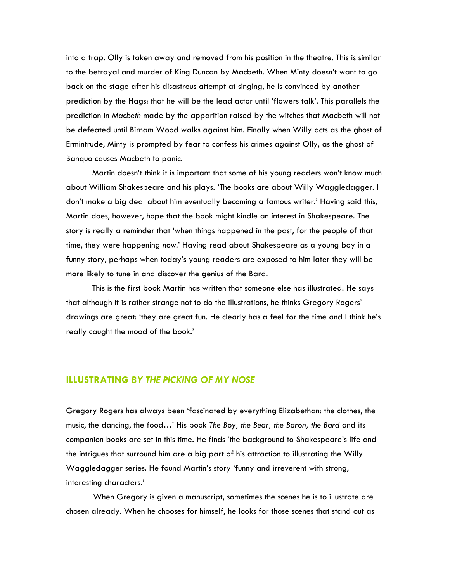into a trap. Olly is taken away and removed from his position in the theatre. This is similar to the betrayal and murder of King Duncan by Macbeth. When Minty doesn't want to go back on the stage after his disastrous attempt at singing, he is convinced by another prediction by the Hags: that he will be the lead actor until 'flowers talk'. This parallels the prediction in *Macbeth* made by the apparition raised by the witches that Macbeth will not be defeated until Birnam Wood walks against him. Finally when Willy acts as the ghost of Ermintrude, Minty is prompted by fear to confess his crimes against Olly, as the ghost of Banquo causes Macbeth to panic.

Martin doesn't think it is important that some of his young readers won't know much about William Shakespeare and his plays. 'The books are about Willy Waggledagger. I don't make a big deal about him eventually becoming a famous writer.' Having said this, Martin does, however, hope that the book might kindle an interest in Shakespeare. The story is really a reminder that 'when things happened in the past, for the people of that time, they were happening *now*.' Having read about Shakespeare as a young boy in a funny story, perhaps when today's young readers are exposed to him later they will be more likely to tune in and discover the genius of the Bard.

This is the first book Martin has written that someone else has illustrated. He says that although it is rather strange not to do the illustrations, he thinks Gregory Rogers' drawings are great: 'they are great fun. He clearly has a feel for the time and I think he's really caught the mood of the book.'

#### **ILLUSTRATING** *BY THE PICKING OF MY NOSE*

Gregory Rogers has always been 'fascinated by everything Elizabethan: the clothes, the music, the dancing, the food…' His book *The Boy, the Bear, the Baron, the Bard* and its companion books are set in this time. He finds 'the background to Shakespeare's life and the intrigues that surround him are a big part of his attraction to illustrating the Willy Waggledagger series. He found Martin's story 'funny and irreverent with strong, interesting characters.'

When Gregory is given a manuscript, sometimes the scenes he is to illustrate are chosen already. When he chooses for himself, he looks for those scenes that stand out as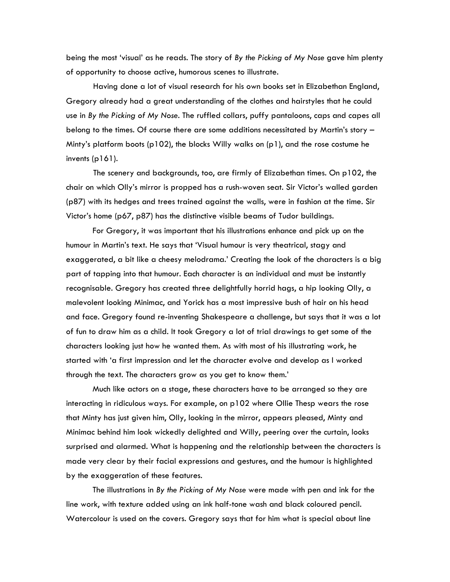being the most 'visual' as he reads. The story of *By the Picking of My Nose* gave him plenty of opportunity to choose active, humorous scenes to illustrate.

Having done a lot of visual research for his own books set in Elizabethan England, Gregory already had a great understanding of the clothes and hairstyles that he could use in *By the Picking of My Nose*. The ruffled collars, puffy pantaloons, caps and capes all belong to the times. Of course there are some additions necessitated by Martin's story – Minty's platform boots (p102), the blocks Willy walks on (p1), and the rose costume he invents (p161).

The scenery and backgrounds, too, are firmly of Elizabethan times. On p102, the chair on which Olly's mirror is propped has a rush-woven seat. Sir Victor's walled garden (p87) with its hedges and trees trained against the walls, were in fashion at the time. Sir Victor's home (p67, p87) has the distinctive visible beams of Tudor buildings.

For Gregory, it was important that his illustrations enhance and pick up on the humour in Martin's text. He says that 'Visual humour is very theatrical, stagy and exaggerated, a bit like a cheesy melodrama.' Creating the look of the characters is a big part of tapping into that humour. Each character is an individual and must be instantly recognisable. Gregory has created three delightfully horrid hags, a hip looking Olly, a malevolent looking Minimac, and Yorick has a most impressive bush of hair on his head and face. Gregory found re-inventing Shakespeare a challenge, but says that it was a lot of fun to draw him as a child. It took Gregory a lot of trial drawings to get some of the characters looking just how he wanted them. As with most of his illustrating work, he started with 'a first impression and let the character evolve and develop as I worked through the text. The characters grow as you get to know them.'

Much like actors on a stage, these characters have to be arranged so they are interacting in ridiculous ways. For example, on p102 where Ollie Thesp wears the rose that Minty has just given him, Olly, looking in the mirror, appears pleased, Minty and Minimac behind him look wickedly delighted and Willy, peering over the curtain, looks surprised and alarmed. What is happening and the relationship between the characters is made very clear by their facial expressions and gestures, and the humour is highlighted by the exaggeration of these features.

The illustrations in *By the Picking of My Nose* were made with pen and ink for the line work, with texture added using an ink half-tone wash and black coloured pencil. Watercolour is used on the covers. Gregory says that for him what is special about line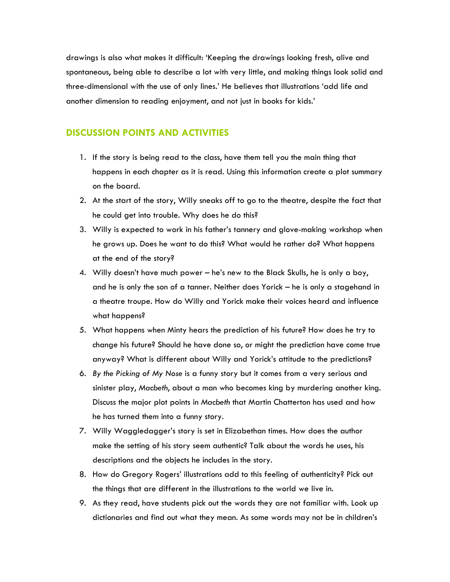drawings is also what makes it difficult: 'Keeping the drawings looking fresh, alive and spontaneous, being able to describe a lot with very little, and making things look solid and three-dimensional with the use of only lines.' He believes that illustrations 'add life and another dimension to reading enjoyment, and not just in books for kids.'

#### **DISCUSSION POINTS AND ACTIVITIES**

- 1. If the story is being read to the class, have them tell you the main thing that happens in each chapter as it is read. Using this information create a plot summary on the board.
- 2. At the start of the story, Willy sneaks off to go to the theatre, despite the fact that he could get into trouble. Why does he do this?
- 3. Willy is expected to work in his father's tannery and glove-making workshop when he grows up. Does he want to do this? What would he rather do? What happens at the end of the story?
- 4. Willy doesn't have much power he's new to the Black Skulls, he is only a boy, and he is only the son of a tanner. Neither does Yorick – he is only a stagehand in a theatre troupe. How do Willy and Yorick make their voices heard and influence what happens?
- 5. What happens when Minty hears the prediction of his future? How does he try to change his future? Should he have done so, or might the prediction have come true anyway? What is different about Willy and Yorick's attitude to the predictions?
- 6. *By the Picking of My Nose* is a funny story but it comes from a very serious and sinister play, *Macbeth*, about a man who becomes king by murdering another king. Discuss the major plot points in *Macbeth* that Martin Chatterton has used and how he has turned them into a funny story.
- 7. Willy Waggledagger's story is set in Elizabethan times. How does the author make the setting of his story seem authentic? Talk about the words he uses, his descriptions and the objects he includes in the story.
- 8. How do Gregory Rogers' illustrations add to this feeling of authenticity? Pick out the things that are different in the illustrations to the world we live in.
- 9. As they read, have students pick out the words they are not familiar with. Look up dictionaries and find out what they mean. As some words may not be in children's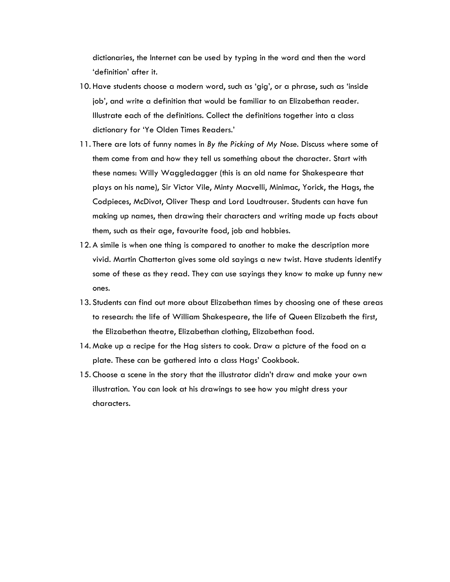dictionaries, the Internet can be used by typing in the word and then the word 'definition' after it.

- 10. Have students choose a modern word, such as 'gig', or a phrase, such as 'inside job', and write a definition that would be familiar to an Elizabethan reader. Illustrate each of the definitions. Collect the definitions together into a class dictionary for 'Ye Olden Times Readers.'
- 11. There are lots of funny names in *By the Picking of My Nose*. Discuss where some of them come from and how they tell us something about the character. Start with these names: Willy Waggledagger (this is an old name for Shakespeare that plays on his name), Sir Victor Vile, Minty Macvelli, Minimac, Yorick, the Hags, the Codpieces, McDivot, Oliver Thesp and Lord Loudtrouser. Students can have fun making up names, then drawing their characters and writing made up facts about them, such as their age, favourite food, job and hobbies.
- 12. A simile is when one thing is compared to another to make the description more vivid. Martin Chatterton gives some old sayings a new twist. Have students identify some of these as they read. They can use sayings they know to make up funny new ones.
- 13. Students can find out more about Elizabethan times by choosing one of these areas to research: the life of William Shakespeare, the life of Queen Elizabeth the first, the Elizabethan theatre, Elizabethan clothing, Elizabethan food.
- 14. Make up a recipe for the Hag sisters to cook. Draw a picture of the food on a plate. These can be gathered into a class Hags' Cookbook.
- 15. Choose a scene in the story that the illustrator didn't draw and make your own illustration. You can look at his drawings to see how you might dress your characters.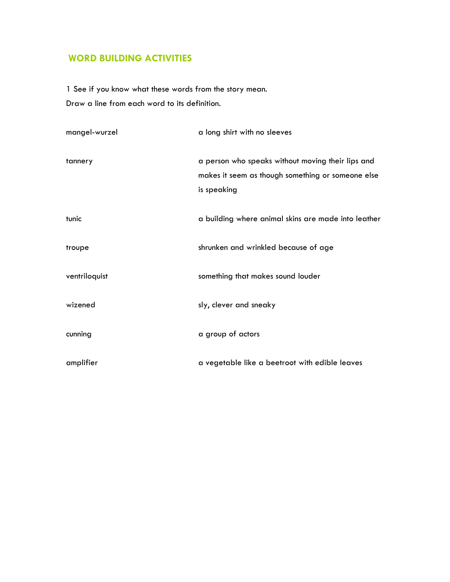## **WORD BUILDING ACTIVITIES**

1 See if you know what these words from the story mean. Draw a line from each word to its definition.

| mangel-wurzel | a long shirt with no sleeves                                                                                          |
|---------------|-----------------------------------------------------------------------------------------------------------------------|
| tannery       | a person who speaks without moving their lips and<br>makes it seem as though something or someone else<br>is speaking |
| tunic         | a building where animal skins are made into leather                                                                   |
| troupe        | shrunken and wrinkled because of age                                                                                  |
| ventriloquist | something that makes sound louder                                                                                     |
| wizened       | sly, clever and sneaky                                                                                                |
| cunning       | a group of actors                                                                                                     |
| amplifier     | a vegetable like a beetroot with edible leaves                                                                        |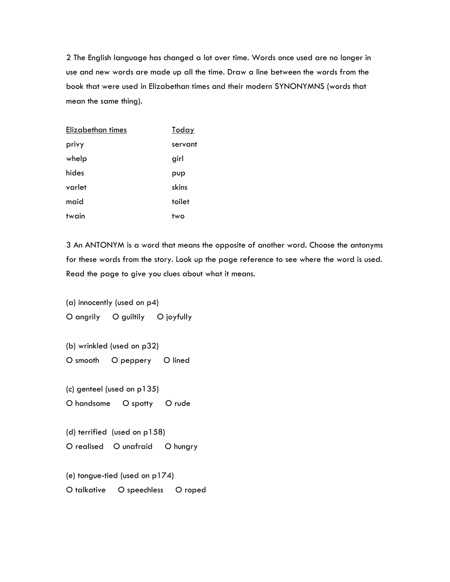2 The English language has changed a lot over time. Words once used are no longer in use and new words are made up all the time. Draw a line between the words from the book that were used in Elizabethan times and their modern SYNONYMNS (words that mean the same thing).

| Elizabethan times | Today   |
|-------------------|---------|
| privy             | servant |
| whelp             | girl    |
| hides             | pup     |
| varlet            | skins   |
| maid              | toilet  |
| twain             | two     |

3 An ANTONYM is a word that means the opposite of another word. Choose the antonyms for these words from the story. Look up the page reference to see where the word is used. Read the page to give you clues about what it means.

(a) innocently (used on p4) O angrily O guiltily O joyfully

(b) wrinkled (used on p32) O smooth O peppery O lined

(c) genteel (used on p135)

O handsome O spotty O rude

(d) terrified (used on p158) O realised O unafraid O hungry

(e) tongue-tied (used on p174)

O talkative O speechless O roped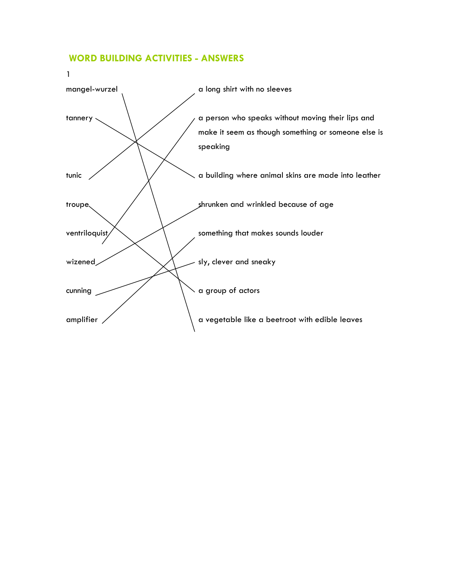### **WORD BUILDING ACTIVITIES - ANSWERS**